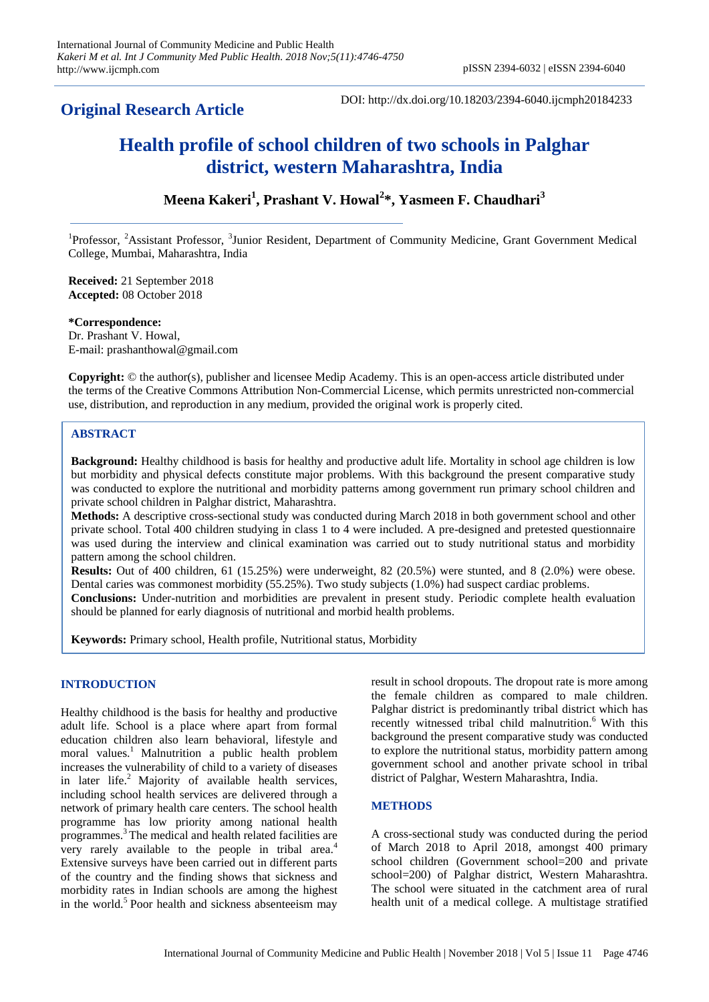# **Original Research Article**

DOI: http://dx.doi.org/10.18203/2394-6040.ijcmph20184233

# **Health profile of school children of two schools in Palghar district, western Maharashtra, India**

# **Meena Kakeri<sup>1</sup> , Prashant V. Howal<sup>2</sup> \*, Yasmeen F. Chaudhari<sup>3</sup>**

<sup>1</sup>Professor, <sup>2</sup>Assistant Professor, <sup>3</sup>Junior Resident, Department of Community Medicine, Grant Government Medical College, Mumbai, Maharashtra, India

**Received:** 21 September 2018 **Accepted:** 08 October 2018

**\*Correspondence:** Dr. Prashant V. Howal, E-mail: prashanthowal@gmail.com

**Copyright:** © the author(s), publisher and licensee Medip Academy. This is an open-access article distributed under the terms of the Creative Commons Attribution Non-Commercial License, which permits unrestricted non-commercial use, distribution, and reproduction in any medium, provided the original work is properly cited.

# **ABSTRACT**

**Background:** Healthy childhood is basis for healthy and productive adult life. Mortality in school age children is low but morbidity and physical defects constitute major problems. With this background the present comparative study was conducted to explore the nutritional and morbidity patterns among government run primary school children and private school children in Palghar district, Maharashtra.

**Methods:** A descriptive cross-sectional study was conducted during March 2018 in both government school and other private school. Total 400 children studying in class 1 to 4 were included. A pre-designed and pretested questionnaire was used during the interview and clinical examination was carried out to study nutritional status and morbidity pattern among the school children.

**Results:** Out of 400 children, 61 (15.25%) were underweight, 82 (20.5%) were stunted, and 8 (2.0%) were obese. Dental caries was commonest morbidity (55.25%). Two study subjects (1.0%) had suspect cardiac problems. **Conclusions:** Under-nutrition and morbidities are prevalent in present study. Periodic complete health evaluation

should be planned for early diagnosis of nutritional and morbid health problems.

**Keywords:** Primary school, Health profile, Nutritional status, Morbidity

# **INTRODUCTION**

Healthy childhood is the basis for healthy and productive adult life. School is a place where apart from formal education children also learn behavioral, lifestyle and moral values.<sup>1</sup> Malnutrition a public health problem increases the vulnerability of child to a variety of diseases in later life.<sup>2</sup> Majority of available health services, including school health services are delivered through a network of primary health care centers. The school health programme has low priority among national health programmes.<sup>3</sup>The medical and health related facilities are very rarely available to the people in tribal area.<sup>4</sup> Extensive surveys have been carried out in different parts of the country and the finding shows that sickness and morbidity rates in Indian schools are among the highest in the world.<sup>5</sup> Poor health and sickness absenteeism may result in school dropouts. The dropout rate is more among the female children as compared to male children. Palghar district is predominantly tribal district which has recently witnessed tribal child malnutrition.<sup>6</sup> With this background the present comparative study was conducted to explore the nutritional status, morbidity pattern among government school and another private school in tribal district of Palghar, Western Maharashtra, India.

# **METHODS**

A cross-sectional study was conducted during the period of March 2018 to April 2018, amongst 400 primary school children (Government school=200 and private school=200) of Palghar district, Western Maharashtra. The school were situated in the catchment area of rural health unit of a medical college. A multistage stratified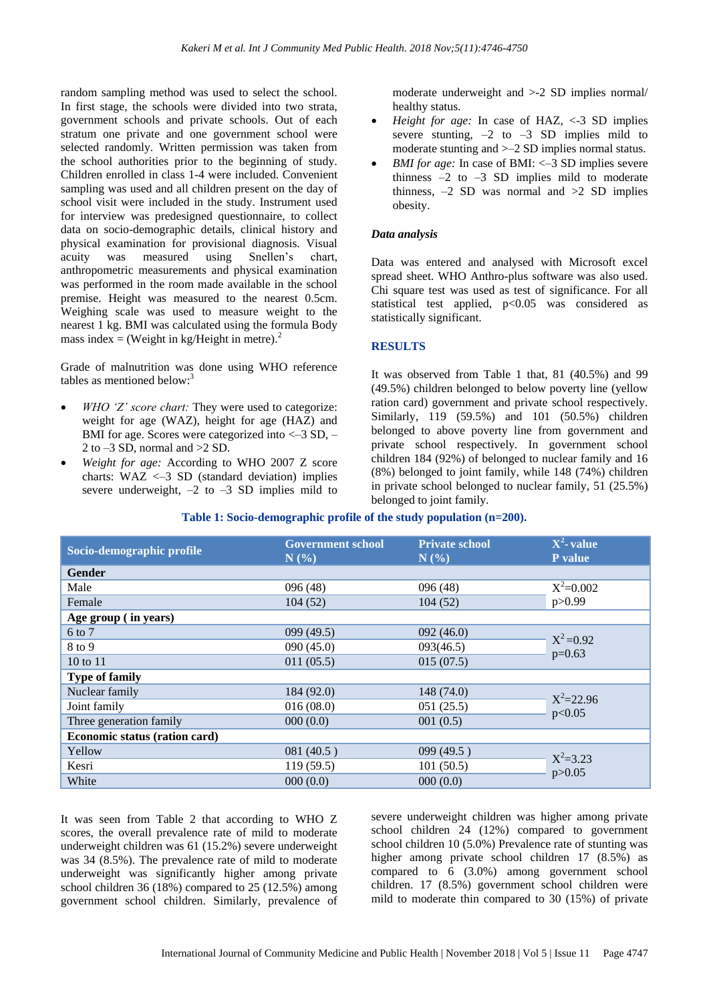random sampling method was used to select the school. In first stage, the schools were divided into two strata, government schools and private schools. Out of each stratum one private and one government school were selected randomly. Written permission was taken from the school authorities prior to the beginning of study. Children enrolled in class 1-4 were included. Convenient sampling was used and all children present on the day of school visit were included in the study. Instrument used for interview was predesigned questionnaire, to collect data on socio-demographic details, clinical history and physical examination for provisional diagnosis. Visual acuity was measured using Snellen's chart, anthropometric measurements and physical examination was performed in the room made available in the school premise. Height was measured to the nearest 0.5cm. Weighing scale was used to measure weight to the nearest 1 kg. BMI was calculated using the formula Body mass index = (Weight in kg/Height in metre). $^{2}$ 

Grade of malnutrition was done using WHO reference tables as mentioned below:<sup>3</sup>

- *WHO 'Z' score chart:* They were used to categorize: weight for age (WAZ), height for age (HAZ) and BMI for age. Scores were categorized into  $\langle -3 \text{ SD}, -1 \rangle$ 2 to  $-3$  SD, normal and  $>2$  SD.
- *Weight for age:* According to WHO 2007 Z score charts:  $WAZ \leq -3 SD$  (standard deviation) implies severe underweight,  $-2$  to  $-3$  SD implies mild to

moderate underweight and >-2 SD implies normal/ healthy status.

- *Height for age:* In case of HAZ, <-3 SD implies severe stunting,  $-2$  to  $-3$  SD implies mild to moderate stunting and >–2 SD implies normal status.
- *BMI for age:* In case of BMI: <-3 SD implies severe thinness  $-2$  to  $-3$  SD implies mild to moderate thinness,  $-2$  SD was normal and  $>2$  SD implies obesity.

#### *Data analysis*

Data was entered and analysed with Microsoft excel spread sheet. WHO Anthro-plus software was also used. Chi square test was used as test of significance. For all statistical test applied, p<0.05 was considered as statistically significant.

# **RESULTS**

It was observed from Table 1 that, 81 (40.5%) and 99 (49.5%) children belonged to below poverty line (yellow ration card) government and private school respectively. Similarly, 119 (59.5%) and 101 (50.5%) children belonged to above poverty line from government and private school respectively. In government school children 184 (92%) of belonged to nuclear family and 16 (8%) belonged to joint family, while 148 (74%) children in private school belonged to nuclear family, 51 (25.5%) belonged to joint family.

| Socio-demographic profile     | <b>Government school</b><br>N(%) | <b>Private school</b><br>N(%) | $X^2$ -value<br><b>P</b> value |  |
|-------------------------------|----------------------------------|-------------------------------|--------------------------------|--|
| <b>Gender</b>                 |                                  |                               |                                |  |
| Male                          | 096(48)                          | 096 (48)                      | $X^2=0.002$<br>p > 0.99        |  |
| Female                        | 104(52)                          | 104(52)                       |                                |  |
| Age group (in years)          |                                  |                               |                                |  |
| 6 to 7                        | 099(49.5)                        | 092(46.0)                     | $X^2 = 0.92$<br>$p=0.63$       |  |
| 8 to 9                        | 090(45.0)                        | 093(46.5)                     |                                |  |
| 10 to 11                      | 011(05.5)                        | 015(07.5)                     |                                |  |
| <b>Type of family</b>         |                                  |                               |                                |  |
| Nuclear family                | 184 (92.0)                       | 148 (74.0)                    | $X^2 = 22.96$<br>p<0.05        |  |
| Joint family                  | 016(08.0)                        | 051(25.5)                     |                                |  |
| Three generation family       | 000(0.0)                         | 001(0.5)                      |                                |  |
| Economic status (ration card) |                                  |                               |                                |  |
| Yellow                        | 081(40.5)                        | 099(49.5)                     | $X^2 = 3.23$<br>p > 0.05       |  |
| Kesri                         | 119(59.5)                        | 101(50.5)                     |                                |  |
| White                         | 000(0.0)                         | 000(0.0)                      |                                |  |

#### **Table 1: Socio-demographic profile of the study population (n=200).**

It was seen from Table 2 that according to WHO Z scores, the overall prevalence rate of mild to moderate underweight children was 61 (15.2%) severe underweight was 34 (8.5%). The prevalence rate of mild to moderate underweight was significantly higher among private school children 36 (18%) compared to 25 (12.5%) among government school children. Similarly, prevalence of severe underweight children was higher among private school children 24 (12%) compared to government school children 10 (5.0%) Prevalence rate of stunting was higher among private school children 17 (8.5%) as compared to 6 (3.0%) among government school children. 17 (8.5%) government school children were mild to moderate thin compared to 30 (15%) of private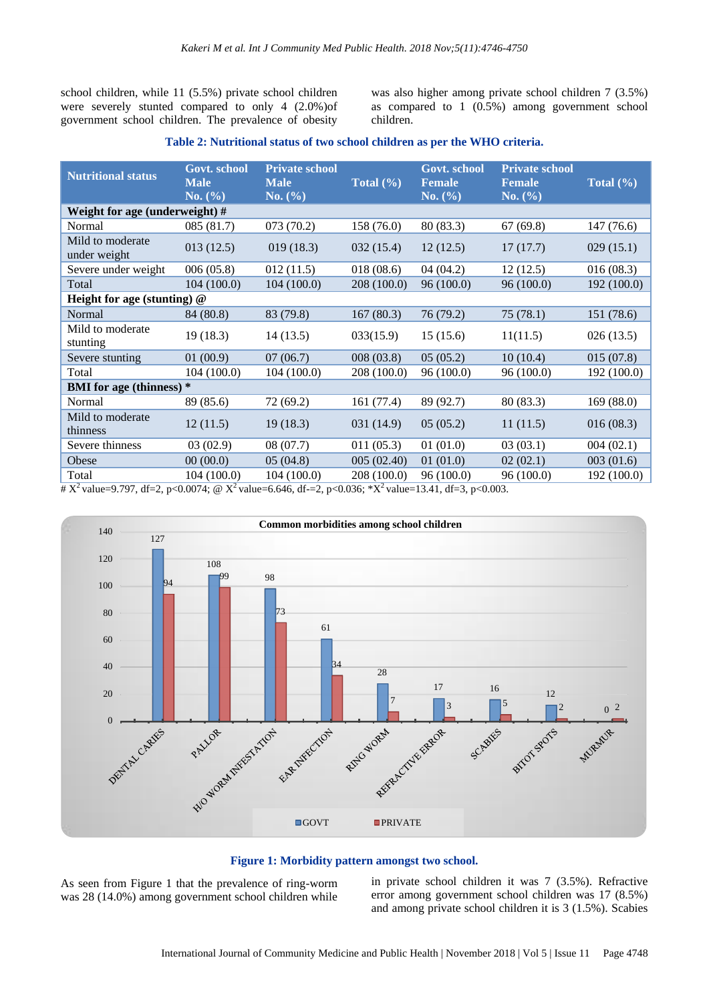school children, while 11 (5.5%) private school children were severely stunted compared to only 4 (2.0%)of government school children. The prevalence of obesity

was also higher among private school children 7 (3.5%) as compared to 1 (0.5%) among government school children.

#### **Table 2: Nutritional status of two school children as per the WHO criteria.**

| <b>Nutritional status</b>        | Govt. school<br><b>Male</b><br>No. (%) | <b>Private school</b><br><b>Male</b><br>No. (%) | Total $(\% )$ | Govt. school<br><b>Female</b><br>No. (%) | <b>Private school</b><br><b>Female</b><br>No. (%) | Total $(\% )$ |  |  |
|----------------------------------|----------------------------------------|-------------------------------------------------|---------------|------------------------------------------|---------------------------------------------------|---------------|--|--|
| Weight for age (underweight) #   |                                        |                                                 |               |                                          |                                                   |               |  |  |
| Normal                           | 085(81.7)                              | 073(70.2)                                       | 158(76.0)     | 80 (83.3)                                | 67(69.8)                                          | 147(76.6)     |  |  |
| Mild to moderate<br>under weight | 013(12.5)                              | 019(18.3)                                       | 032(15.4)     | 12(12.5)                                 | 17(17.7)                                          | 029(15.1)     |  |  |
| Severe under weight              | 006(05.8)                              | 012(11.5)                                       | 018(08.6)     | 04(04.2)                                 | 12(12.5)                                          | 016(08.3)     |  |  |
| Total                            | 104(100.0)                             | 104(100.0)                                      | 208 (100.0)   | 96(100.0)                                | 96(100.0)                                         | 192 (100.0)   |  |  |
| Height for age (stunting) $@$    |                                        |                                                 |               |                                          |                                                   |               |  |  |
| Normal                           | 84 (80.8)                              | 83 (79.8)                                       | 167(80.3)     | 76(79.2)                                 | 75(78.1)                                          | 151 (78.6)    |  |  |
| Mild to moderate<br>stunting     | 19(18.3)                               | 14(13.5)                                        | 033(15.9)     | 15(15.6)                                 | 11(11.5)                                          | 026(13.5)     |  |  |
| Severe stunting                  | 01(00.9)                               | 07(06.7)                                        | 008(03.8)     | 05(05.2)                                 | 10(10.4)                                          | 015(07.8)     |  |  |
| Total                            | 104 (100.0)                            | 104(100.0)                                      | 208 (100.0)   | 96 (100.0)                               | 96 (100.0)                                        | 192 (100.0)   |  |  |
| <b>BMI</b> for age (thinness) *  |                                        |                                                 |               |                                          |                                                   |               |  |  |
| Normal                           | 89 (85.6)                              | 72(69.2)                                        | 161(77.4)     | 89 (92.7)                                | 80 (83.3)                                         | 169(88.0)     |  |  |
| Mild to moderate<br>thinness     | 12(11.5)                               | 19(18.3)                                        | 031 (14.9)    | 05(05.2)                                 | 11(11.5)                                          | 016(08.3)     |  |  |
| Severe thinness                  | 03(02.9)                               | 08(07.7)                                        | 011(05.3)     | 01(01.0)                                 | 03(03.1)                                          | 004(02.1)     |  |  |
| Obese                            | 00(00.0)                               | 05(04.8)                                        | 005 (02.40)   | 01(01.0)                                 | 02(02.1)                                          | 003(01.6)     |  |  |
| Total                            | 104 (100.0)                            | 104 (100.0)                                     | 208 (100.0)   | 96 (100.0)                               | 96 (100.0)                                        | 192(100.0)    |  |  |

#  $X^2$  value=9.797, df=2, p<0.0074; @  $X^2$  value=6.646, df-=2, p<0.036; \* $X^2$  value=13.41, df=3, p<0.003.



#### **Figure 1: Morbidity pattern amongst two school.**

As seen from Figure 1 that the prevalence of ring-worm was 28 (14.0%) among government school children while in private school children it was 7 (3.5%). Refractive error among government school children was 17 (8.5%) and among private school children it is 3 (1.5%). Scabies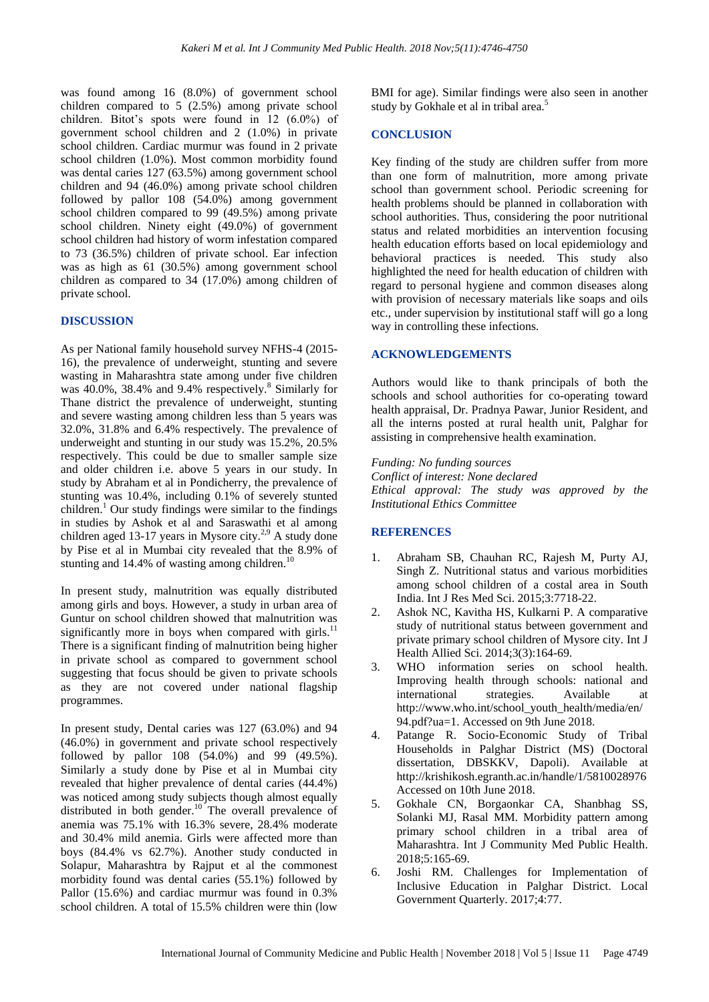was found among 16 (8.0%) of government school children compared to 5 (2.5%) among private school children. Bitot's spots were found in 12 (6.0%) of government school children and 2 (1.0%) in private school children. Cardiac murmur was found in 2 private school children (1.0%). Most common morbidity found was dental caries 127 (63.5%) among government school children and 94 (46.0%) among private school children followed by pallor 108 (54.0%) among government school children compared to 99 (49.5%) among private school children. Ninety eight (49.0%) of government school children had history of worm infestation compared to 73 (36.5%) children of private school. Ear infection was as high as 61 (30.5%) among government school children as compared to 34 (17.0%) among children of private school.

# **DISCUSSION**

As per National family household survey NFHS-4 (2015- 16), the prevalence of underweight, stunting and severe wasting in Maharashtra state among under five children was  $40.0\%$ , 38.4% and 9.4% respectively.<sup>8</sup> Similarly for Thane district the prevalence of underweight, stunting and severe wasting among children less than 5 years was 32.0%, 31.8% and 6.4% respectively. The prevalence of underweight and stunting in our study was 15.2%, 20.5% respectively. This could be due to smaller sample size and older children i.e. above 5 years in our study. In study by Abraham et al in Pondicherry, the prevalence of stunting was 10.4%, including 0.1% of severely stunted children.<sup>1</sup> Our study findings were similar to the findings in studies by Ashok et al and Saraswathi et al among children aged 13-17 years in Mysore city.<sup>2,9</sup> A study done by Pise et al in Mumbai city revealed that the 8.9% of stunting and  $14.4\%$  of wasting among children.<sup>10</sup>

In present study, malnutrition was equally distributed among girls and boys. However, a study in urban area of Guntur on school children showed that malnutrition was significantly more in boys when compared with girls.<sup>11</sup> There is a significant finding of malnutrition being higher in private school as compared to government school suggesting that focus should be given to private schools as they are not covered under national flagship programmes.

In present study, Dental caries was 127 (63.0%) and 94 (46.0%) in government and private school respectively followed by pallor 108 (54.0%) and 99 (49.5%). Similarly a study done by Pise et al in Mumbai city revealed that higher prevalence of dental caries (44.4%) was noticed among study subjects though almost equally distributed in both gender.<sup>10</sup> The overall prevalence of anemia was 75.1% with 16.3% severe, 28.4% moderate and 30.4% mild anemia. Girls were affected more than boys (84.4% vs 62.7%). Another study conducted in Solapur, Maharashtra by Rajput et al the commonest morbidity found was dental caries (55.1%) followed by Pallor (15.6%) and cardiac murmur was found in 0.3% school children. A total of 15.5% children were thin (low

BMI for age). Similar findings were also seen in another study by Gokhale et al in tribal area.<sup>5</sup>

# **CONCLUSION**

Key finding of the study are children suffer from more than one form of malnutrition, more among private school than government school. Periodic screening for health problems should be planned in collaboration with school authorities. Thus, considering the poor nutritional status and related morbidities an intervention focusing health education efforts based on local epidemiology and behavioral practices is needed. This study also highlighted the need for health education of children with regard to personal hygiene and common diseases along with provision of necessary materials like soaps and oils etc., under supervision by institutional staff will go a long way in controlling these infections.

# **ACKNOWLEDGEMENTS**

Authors would like to thank principals of both the schools and school authorities for co-operating toward health appraisal, Dr. Pradnya Pawar, Junior Resident, and all the interns posted at rural health unit, Palghar for assisting in comprehensive health examination.

*Funding: No funding sources Conflict of interest: None declared Ethical approval: The study was approved by the Institutional Ethics Committee*

# **REFERENCES**

- 1. Abraham SB, Chauhan RC, Rajesh M, Purty AJ, Singh Z. Nutritional status and various morbidities among school children of a costal area in South India. Int J Res Med Sci. 2015;3:7718-22.
- 2. Ashok NC, Kavitha HS, Kulkarni P. A comparative study of nutritional status between government and private primary school children of Mysore city. Int J Health Allied Sci. 2014;3(3):164-69.
- 3. WHO information series on school health. Improving health through schools: national and international strategies. Available at http://www.who.int/school\_youth\_health/media/en/ 94.pdf?ua=1. Accessed on 9th June 2018.
- 4. Patange R. Socio-Economic Study of Tribal Households in Palghar District (MS) (Doctoral dissertation, DBSKKV, Dapoli). Available at http://krishikosh.egranth.ac.in/handle/1/5810028976 Accessed on 10th June 2018.
- 5. Gokhale CN, Borgaonkar CA, Shanbhag SS, Solanki MJ, Rasal MM. Morbidity pattern among primary school children in a tribal area of Maharashtra. Int J Community Med Public Health. 2018;5:165-69.
- 6. Joshi RM. Challenges for Implementation of Inclusive Education in Palghar District. Local Government Quarterly. 2017;4:77.